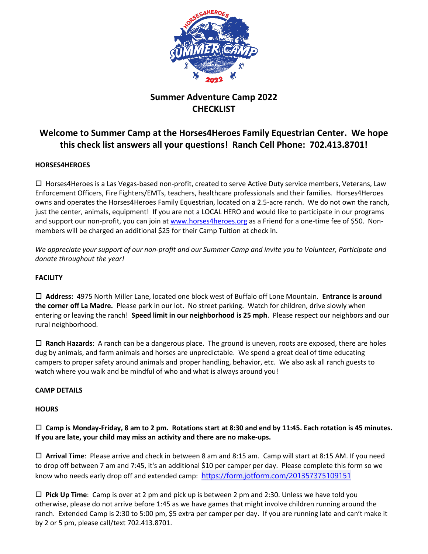

# **Summer Adventure Camp 2022 CHECKLIST**

# **Welcome to Summer Camp at the Horses4Heroes Family Equestrian Center. We hope this check list answers all your questions! Ranch Cell Phone: 702.413.8701!**

# **HORSES4HEROES**

 $\Box$  Horses4Heroes is a Las Vegas-based non-profit, created to serve Active Duty service members, Veterans, Law Enforcement Officers, Fire Fighters/EMTs, teachers, healthcare professionals and their families. Horses4Heroes owns and operates the Horses4Heroes Family Equestrian, located on a 2.5-acre ranch. We do not own the ranch, just the center, animals, equipment! If you are not a LOCAL HERO and would like to participate in our programs and support our non-profit, you can join at [www.horses4heroes.org](http://www.horses4heroes.org/) as a Friend for a one-time fee of \$50. Nonmembers will be charged an additional \$25 for their Camp Tuition at check in.

*We appreciate your support of our non-profit and our Summer Camp and invite you to Volunteer, Participate and donate throughout the year!* 

# **FACILITY**

 **Address:** 4975 North Miller Lane, located one block west of Buffalo off Lone Mountain. **Entrance is around the corner off La Madre.** Please park in our lot. No street parking. Watch for children, drive slowly when entering or leaving the ranch! **Speed limit in our neighborhood is 25 mph**. Please respect our neighbors and our rural neighborhood.

 **Ranch Hazards**: A ranch can be a dangerous place. The ground is uneven, roots are exposed, there are holes dug by animals, and farm animals and horses are unpredictable. We spend a great deal of time educating campers to proper safety around animals and proper handling, behavior, etc. We also ask all ranch guests to watch where you walk and be mindful of who and what is always around you!

# **CAMP DETAILS**

#### **HOURS**

# **Camp is Monday-Friday, 8 am to 2 pm. Rotations start at 8:30 and end by 11:45. Each rotation is 45 minutes. If you are late, your child may miss an activity and there are no make-ups.**

 **Arrival Time**: Please arrive and check in between 8 am and 8:15 am. Camp will start at 8:15 AM. If you need to drop off between 7 am and 7:45, it's an additional \$10 per camper per day. Please complete this form so we know who needs early drop off and extended camp: <https://form.jotform.com/201357375109151>

 **Pick Up Time**: Camp is over at 2 pm and pick up is between 2 pm and 2:30. Unless we have told you otherwise, please do not arrive before 1:45 as we have games that might involve children running around the ranch. Extended Camp is 2:30 to 5:00 pm, \$5 extra per camper per day. If you are running late and can't make it by 2 or 5 pm, please call/text 702.413.8701.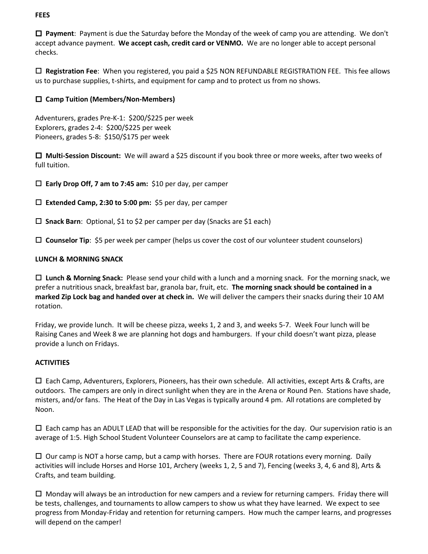## **FEES**

 **Payment**: Payment is due the Saturday before the Monday of the week of camp you are attending. We don't accept advance payment. **We accept cash, credit card or VENMO.** We are no longer able to accept personal checks.

 **Registration Fee**: When you registered, you paid a \$25 NON REFUNDABLE REGISTRATION FEE. This fee allows us to purchase supplies, t-shirts, and equipment for camp and to protect us from no shows.

# **Camp Tuition (Members/Non-Members)**

Adventurers, grades Pre-K-1: \$200/\$225 per week Explorers, grades 2-4: \$200/\$225 per week Pioneers, grades 5-8: \$150/\$175 per week

 **Multi-Session Discount:** We will award a \$25 discount if you book three or more weeks, after two weeks of full tuition.

**Early Drop Off, 7 am to 7:45 am:** \$10 per day, per camper

**Extended Camp, 2:30 to 5:00 pm:** \$5 per day, per camper

**Snack Barn**: Optional, \$1 to \$2 per camper per day (Snacks are \$1 each)

**Counselor Tip**: \$5 per week per camper (helps us cover the cost of our volunteer student counselors)

#### **LUNCH & MORNING SNACK**

 **Lunch & Morning Snack:** Please send your child with a lunch and a morning snack. For the morning snack, we prefer a nutritious snack, breakfast bar, granola bar, fruit, etc. **The morning snack should be contained in a marked Zip Lock bag and handed over at check in.** We will deliver the campers their snacks during their 10 AM rotation.

Friday, we provide lunch. It will be cheese pizza, weeks 1, 2 and 3, and weeks 5-7. Week Four lunch will be Raising Canes and Week 8 we are planning hot dogs and hamburgers. If your child doesn't want pizza, please provide a lunch on Fridays.

#### **ACTIVITIES**

 $\Box$  Each Camp, Adventurers, Explorers, Pioneers, has their own schedule. All activities, except Arts & Crafts, are outdoors. The campers are only in direct sunlight when they are in the Arena or Round Pen. Stations have shade, misters, and/or fans. The Heat of the Day in Las Vegas is typically around 4 pm. All rotations are completed by Noon.

 $\Box$  Each camp has an ADULT LEAD that will be responsible for the activities for the day. Our supervision ratio is an average of 1:5. High School Student Volunteer Counselors are at camp to facilitate the camp experience.

 $\Box$  Our camp is NOT a horse camp, but a camp with horses. There are FOUR rotations every morning. Daily activities will include Horses and Horse 101, Archery (weeks 1, 2, 5 and 7), Fencing (weeks 3, 4, 6 and 8), Arts & Crafts, and team building.

 $\Box$  Monday will always be an introduction for new campers and a review for returning campers. Friday there will be tests, challenges, and tournaments to allow campers to show us what they have learned. We expect to see progress from Monday-Friday and retention for returning campers. How much the camper learns, and progresses will depend on the camper!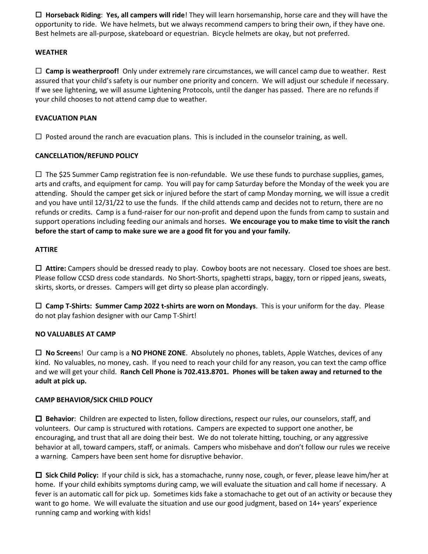**Horseback Riding**: **Yes, all campers will ride**! They will learn horsemanship, horse care and they will have the opportunity to ride. We have helmets, but we always recommend campers to bring their own, if they have one. Best helmets are all-purpose, skateboard or equestrian. Bicycle helmets are okay, but not preferred.

#### **WEATHER**

 $\Box$  **Camp is weatherproof!** Only under extremely rare circumstances, we will cancel camp due to weather. Rest assured that your child's safety is our number one priority and concern. We will adjust our schedule if necessary. If we see lightening, we will assume Lightening Protocols, until the danger has passed. There are no refunds if your child chooses to not attend camp due to weather.

#### **EVACUATION PLAN**

 $\Box$  Posted around the ranch are evacuation plans. This is included in the counselor training, as well.

## **CANCELLATION/REFUND POLICY**

 $\Box$  The \$25 Summer Camp registration fee is non-refundable. We use these funds to purchase supplies, games, arts and crafts, and equipment for camp. You will pay for camp Saturday before the Monday of the week you are attending. Should the camper get sick or injured before the start of camp Monday morning, we will issue a credit and you have until 12/31/22 to use the funds. If the child attends camp and decides not to return, there are no refunds or credits. Camp is a fund-raiser for our non-profit and depend upon the funds from camp to sustain and support operations including feeding our animals and horses. **We encourage you to make time to visit the ranch before the start of camp to make sure we are a good fit for you and your family.**

## **ATTIRE**

 **Attire:** Campers should be dressed ready to play. Cowboy boots are not necessary. Closed toe shoes are best. Please follow CCSD dress code standards. No Short-Shorts, spaghetti straps, baggy, torn or ripped jeans, sweats, skirts, skorts, or dresses. Campers will get dirty so please plan accordingly.

 **Camp T-Shirts: Summer Camp 2022 t-shirts are worn on Mondays**. This is your uniform for the day. Please do not play fashion designer with our Camp T-Shirt!

#### **NO VALUABLES AT CAMP**

 **No Screen**s! Our camp is a **NO PHONE ZONE**. Absolutely no phones, tablets, Apple Watches, devices of any kind. No valuables, no money, cash. If you need to reach your child for any reason, you can text the camp office and we will get your child. **Ranch Cell Phone is 702.413.8701. Phones will be taken away and returned to the adult at pick up.**

#### **CAMP BEHAVIOR/SICK CHILD POLICY**

 **Behavior**: Children are expected to listen, follow directions, respect our rules, our counselors, staff, and volunteers. Our camp is structured with rotations. Campers are expected to support one another, be encouraging, and trust that all are doing their best. We do not tolerate hitting, touching, or any aggressive behavior at all, toward campers, staff, or animals. Campers who misbehave and don't follow our rules we receive a warning. Campers have been sent home for disruptive behavior.

 **Sick Child Policy:** If your child is sick, has a stomachache, runny nose, cough, or fever, please leave him/her at home. If your child exhibits symptoms during camp, we will evaluate the situation and call home if necessary. A fever is an automatic call for pick up. Sometimes kids fake a stomachache to get out of an activity or because they want to go home. We will evaluate the situation and use our good judgment, based on 14+ years' experience running camp and working with kids!